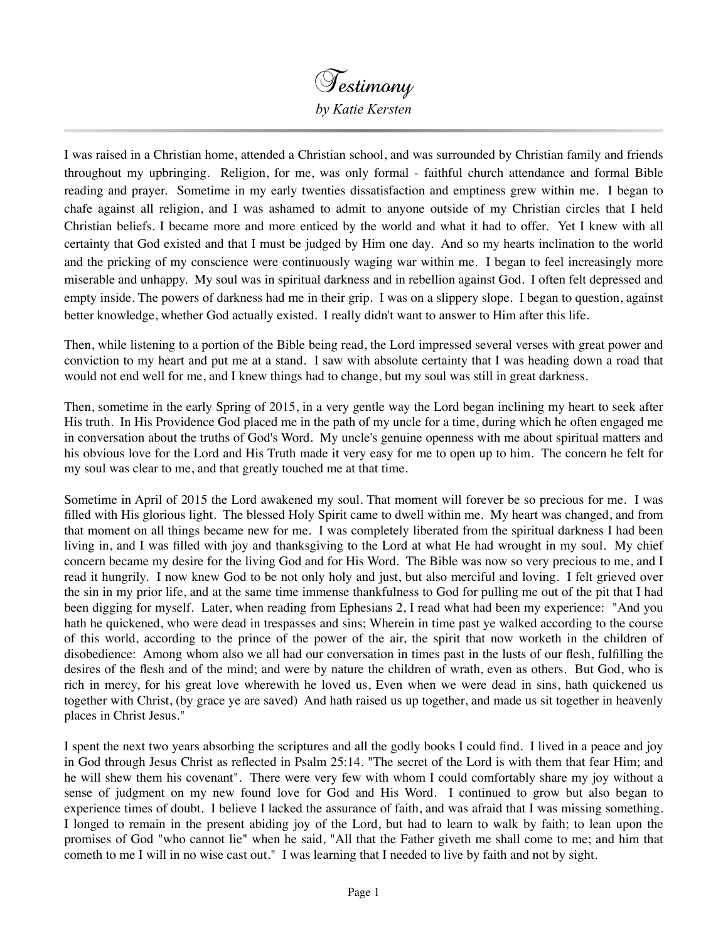

I was raised in a Christian home, attended a Christian school, and was surrounded by Christian family and friends throughout my upbringing. Religion, for me, was only formal - faithful church attendance and formal Bible reading and prayer. Sometime in my early twenties dissatisfaction and emptiness grew within me. I began to chafe against all religion, and I was ashamed to admit to anyone outside of my Christian circles that I held Christian beliefs. I became more and more enticed by the world and what it had to offer. Yet I knew with all certainty that God existed and that I must be judged by Him one day. And so my hearts inclination to the world and the pricking of my conscience were continuously waging war within me. I began to feel increasingly more miserable and unhappy. My soul was in spiritual darkness and in rebellion against God. I often felt depressed and empty inside. The powers of darkness had me in their grip. I was on a slippery slope. I began to question, against better knowledge, whether God actually existed. I really didn't want to answer to Him after this life.

Then, while listening to a portion of the Bible being read, the Lord impressed several verses with great power and conviction to my heart and put me at a stand. I saw with absolute certainty that I was heading down a road that would not end well for me, and I knew things had to change, but my soul was still in great darkness.

Then, sometime in the early Spring of 2015, in a very gentle way the Lord began inclining my heart to seek after His truth. In His Providence God placed me in the path of my uncle for a time, during which he often engaged me in conversation about the truths of God's Word. My uncle's genuine openness with me about spiritual matters and his obvious love for the Lord and His Truth made it very easy for me to open up to him. The concern he felt for my soul was clear to me, and that greatly touched me at that time.

Sometime in April of 2015 the Lord awakened my soul. That moment will forever be so precious for me. I was filled with His glorious light. The blessed Holy Spirit came to dwell within me. My heart was changed, and from that moment on all things became new for me. I was completely liberated from the spiritual darkness I had been living in, and I was filled with joy and thanksgiving to the Lord at what He had wrought in my soul. My chief concern became my desire for the living God and for His Word. The Bible was now so very precious to me, and I read it hungrily. I now knew God to be not only holy and just, but also merciful and loving. I felt grieved over the sin in my prior life, and at the same time immense thankfulness to God for pulling me out of the pit that I had been digging for myself. Later, when reading from Ephesians 2, I read what had been my experience: "And you hath he quickened, who were dead in trespasses and sins; Wherein in time past ye walked according to the course of this world, according to the prince of the power of the air, the spirit that now worketh in the children of disobedience: Among whom also we all had our conversation in times past in the lusts of our flesh, fulfilling the desires of the flesh and of the mind; and were by nature the children of wrath, even as others. But God, who is rich in mercy, for his great love wherewith he loved us, Even when we were dead in sins, hath quickened us together with Christ, (by grace ye are saved) And hath raised us up together, and made us sit together in heavenly places in Christ Jesus."

I spent the next two years absorbing the scriptures and all the godly books I could find. I lived in a peace and joy in God through Jesus Christ as reflected in Psalm 25:14. "The secret of the Lord is with them that fear Him; and he will shew them his covenant". There were very few with whom I could comfortably share my joy without a sense of judgment on my new found love for God and His Word. I continued to grow but also began to experience times of doubt. I believe I lacked the assurance of faith, and was afraid that I was missing something. I longed to remain in the present abiding joy of the Lord, but had to learn to walk by faith; to lean upon the promises of God "who cannot lie" when he said, "All that the Father giveth me shall come to me; and him that cometh to me I will in no wise cast out." I was learning that I needed to live by faith and not by sight.